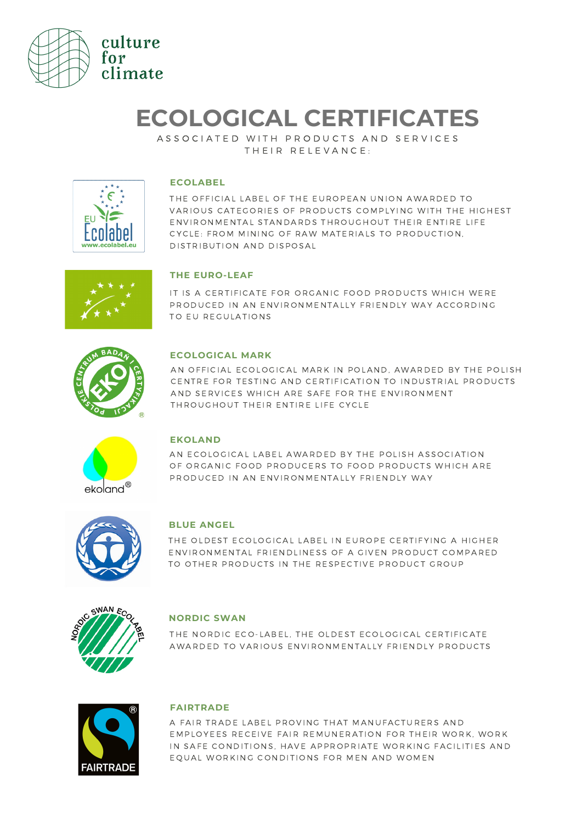

# **ECOLOGICAL CERTIFICATES**

A S S O C I A T E D W I T H P R O D U C T S A N D S E R V I C E S THEIR RELEVANCE:



### **ECOLABEL**

THE OFFICIAL LABEL OF THE EUROPEAN UNION AWARDED TO VARIOUS CATEGORIES OF PRODUCTS COMPLYING WITH THE HIGHEST ENVIRONMENTAL STANDARDS THROUGHOUT THEIR ENTIRE LIFE CYCLE: FROM MINING OF RAW MATERIALS TO PRODUCTION. DISTRIBUTION AND DISPOSAL



## **THE EURO-LEAF**

IT IS A CERTIFICATE FOR ORGANIC FOOD PRODUCTS WHICH WERE PRODUCED IN AN ENVIRONMENTALLY FRIENDLY WAY ACCORDING TO EU REGULATIONS



### **ECOLOGICAL MARK**

AN OFFICIAL ECOLOGICAL MARK IN POLAND, AWARDED BY THE POLISH CENTRE FOR TESTING AND CERTIFICATION TO INDUSTRIAL PRODUCTS AND SERVICES WHICH ARE SAFE FOR THE ENVIRONMENT THROUGHOUT THEIR ENTIRE LIFE CYCLE



### **EKOLAND**

AN ECOLOGICAL LABEL AWARDED BY THE POLISH ASSOCIATION OF ORGANIC FOOD PRODUCERS TO FOOD PRODUCTS WHICH ARE PRODUCED IN AN ENVIRONMENTALLY FRIENDLY WAY



### **BLUE ANGEL**

THE OLDEST ECOLOGICAL LABEL IN EUROPE CERTIFYING A HIGHER ENVIRONMENTAL FRIENDLINESS OF A GIVEN PRODUCT COMPARED TO OTHER PRODUCTS IN THE RESPECTIVE PRODUCT GROUP



### **NORDIC SWAN**

THE NORDIC ECO-LABEL. THE OLDEST ECOLOGICAL CERTIFICATE AWARDED TO VARIOUS ENVIRONMENTALLY FRIENDLY PRODUCTS



### **FAIRTRADE**

A FAIR TRADE LABEL PROVING THAT MANUFACTURERS AND EMPLOYEES RECEIVE FAIR REMUNERATION FOR THEIR WORK, WORK IN SAFE CONDITIONS, HAVE APPROPRIATE WORKING FACILITIES AND EOUAL WORKING CONDITIONS FOR MEN AND WOMEN